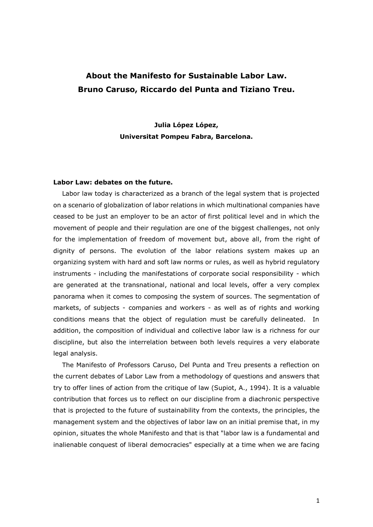## **About the Manifesto for Sustainable Labor Law. Bruno Caruso, Riccardo del Punta and Tiziano Treu.**

**Julia López López, Universitat Pompeu Fabra, Barcelona.**

## **Labor Law: debates on the future.**

Labor law today is characterized as a branch of the legal system that is projected on a scenario of globalization of labor relations in which multinational companies have ceased to be just an employer to be an actor of first political level and in which the movement of people and their regulation are one of the biggest challenges, not only for the implementation of freedom of movement but, above all, from the right of dignity of persons. The evolution of the labor relations system makes up an organizing system with hard and soft law norms or rules, as well as hybrid regulatory instruments - including the manifestations of corporate social responsibility - which are generated at the transnational, national and local levels, offer a very complex panorama when it comes to composing the system of sources. The segmentation of markets, of subjects - companies and workers - as well as of rights and working conditions means that the object of regulation must be carefully delineated. In addition, the composition of individual and collective labor law is a richness for our discipline, but also the interrelation between both levels requires a very elaborate legal analysis.

The Manifesto of Professors Caruso, Del Punta and Treu presents a reflection on the current debates of Labor Law from a methodology of questions and answers that try to offer lines of action from the critique of law (Supiot, A., 1994). It is a valuable contribution that forces us to reflect on our discipline from a diachronic perspective that is projected to the future of sustainability from the contexts, the principles, the management system and the objectives of labor law on an initial premise that, in my opinion, situates the whole Manifesto and that is that "labor law is a fundamental and inalienable conquest of liberal democracies" especially at a time when we are facing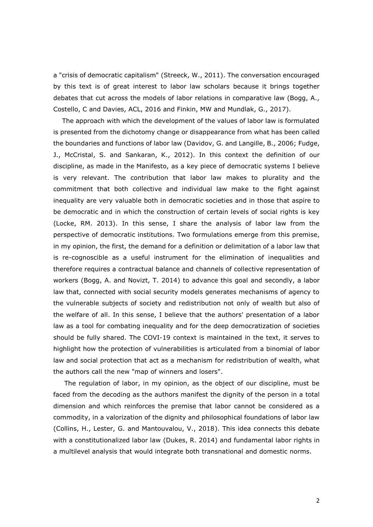a "crisis of democratic capitalism" (Streeck, W., 2011). The conversation encouraged by this text is of great interest to labor law scholars because it brings together debates that cut across the models of labor relations in comparative law (Bogg, A., Costello, C and Davies, ACL, 2016 and Finkin, MW and Mundlak, G., 2017).

The approach with which the development of the values of labor law is formulated is presented from the dichotomy change or disappearance from what has been called the boundaries and functions of labor law (Davidov, G. and Langille, B., 2006; Fudge, J., McCristal, S. and Sankaran, K., 2012). In this context the definition of our discipline, as made in the Manifesto, as a key piece of democratic systems I believe is very relevant. The contribution that labor law makes to plurality and the commitment that both collective and individual law make to the fight against inequality are very valuable both in democratic societies and in those that aspire to be democratic and in which the construction of certain levels of social rights is key (Locke, RM. 2013). In this sense, I share the analysis of labor law from the perspective of democratic institutions. Two formulations emerge from this premise, in my opinion, the first, the demand for a definition or delimitation of a labor law that is re-cognoscible as a useful instrument for the elimination of inequalities and therefore requires a contractual balance and channels of collective representation of workers (Bogg, A. and Novizt, T. 2014) to advance this goal and secondly, a labor law that, connected with social security models generates mechanisms of agency to the vulnerable subjects of society and redistribution not only of wealth but also of the welfare of all. In this sense, I believe that the authors' presentation of a labor law as a tool for combating inequality and for the deep democratization of societies should be fully shared. The COVI-19 context is maintained in the text, it serves to highlight how the protection of vulnerabilities is articulated from a binomial of labor law and social protection that act as a mechanism for redistribution of wealth, what the authors call the new "map of winners and losers".

The regulation of labor, in my opinion, as the object of our discipline, must be faced from the decoding as the authors manifest the dignity of the person in a total dimension and which reinforces the premise that labor cannot be considered as a commodity, in a valorization of the dignity and philosophical foundations of labor law (Collins, H., Lester, G. and Mantouvalou, V., 2018). This idea connects this debate with a constitutionalized labor law (Dukes, R. 2014) and fundamental labor rights in a multilevel analysis that would integrate both transnational and domestic norms.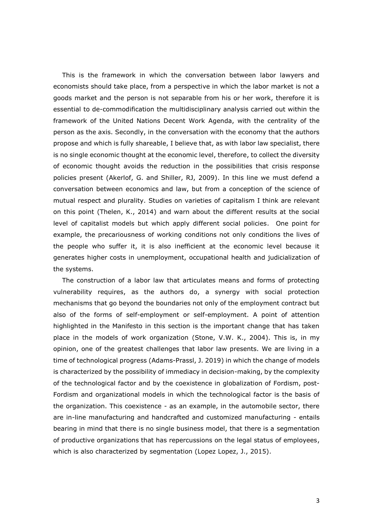This is the framework in which the conversation between labor lawyers and economists should take place, from a perspective in which the labor market is not a goods market and the person is not separable from his or her work, therefore it is essential to de-commodification the multidisciplinary analysis carried out within the framework of the United Nations Decent Work Agenda, with the centrality of the person as the axis. Secondly, in the conversation with the economy that the authors propose and which is fully shareable, I believe that, as with labor law specialist, there is no single economic thought at the economic level, therefore, to collect the diversity of economic thought avoids the reduction in the possibilities that crisis response policies present (Akerlof, G. and Shiller, RJ, 2009). In this line we must defend a conversation between economics and law, but from a conception of the science of mutual respect and plurality. Studies on varieties of capitalism I think are relevant on this point (Thelen, K., 2014) and warn about the different results at the social level of capitalist models but which apply different social policies. One point for example, the precariousness of working conditions not only conditions the lives of the people who suffer it, it is also inefficient at the economic level because it generates higher costs in unemployment, occupational health and judicialization of the systems.

The construction of a labor law that articulates means and forms of protecting vulnerability requires, as the authors do, a synergy with social protection mechanisms that go beyond the boundaries not only of the employment contract but also of the forms of self-employment or self-employment. A point of attention highlighted in the Manifesto in this section is the important change that has taken place in the models of work organization (Stone, V.W. K., 2004). This is, in my opinion, one of the greatest challenges that labor law presents. We are living in a time of technological progress (Adams-Prassl, J. 2019) in which the change of models is characterized by the possibility of immediacy in decision-making, by the complexity of the technological factor and by the coexistence in globalization of Fordism, post-Fordism and organizational models in which the technological factor is the basis of the organization. This coexistence - as an example, in the automobile sector, there are in-line manufacturing and handcrafted and customized manufacturing - entails bearing in mind that there is no single business model, that there is a segmentation of productive organizations that has repercussions on the legal status of employees, which is also characterized by segmentation (Lopez Lopez, J., 2015).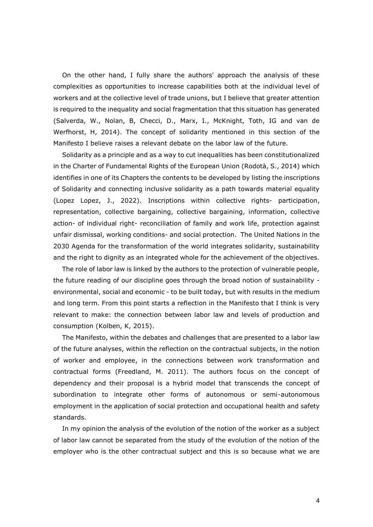On the other hand, I fully share the authors' approach the analysis of these complexities as opportunities to increase capabilities both at the individual level of workers and at the collective level of trade unions, but I believe that greater attention is required to the inequality and social fragmentation that this situation has generated (Salverda, W., Nolan, B, Checci, D., Marx, I., McKnight, Toth, IG and van de Werfhorst, H, 2014). The concept of solidarity mentioned in this section of the Manifesto I believe raises a relevant debate on the labor law of the future.

Solidarity as a principle and as a way to cut inequalities has been constitutionalized in the Charter of Fundamental Rights of the European Union (Rodotà, S., 2014) which identifies in one of its Chapters the contents to be developed by listing the inscriptions of Solidarity and connecting inclusive solidarity as a path towards material equality (Lopez Lopez, J., 2022). Inscriptions within collective rights- participation, representation, collective bargaining, collective bargaining, information, collective action- of individual right- reconciliation of family and work life, protection against unfair dismissal, working conditions- and social protection. The United Nations in the 2030 Agenda for the transformation of the world integrates solidarity, sustainability and the right to dignity as an integrated whole for the achievement of the objectives.

The role of labor law is linked by the authors to the protection of vulnerable people, the future reading of our discipline goes through the broad notion of sustainability environmental, social and economic - to be built today, but with results in the medium and long term. From this point starts a reflection in the Manifesto that I think is very relevant to make: the connection between labor law and levels of production and consumption (Kolben, K, 2015).

The Manifesto, within the debates and challenges that are presented to a labor law of the future analyses, within the reflection on the contractual subjects, in the notion of worker and employee, in the connections between work transformation and contractual forms (Freedland, M. 2011). The authors focus on the concept of dependency and their proposal is a hybrid model that transcends the concept of subordination to integrate other forms of autonomous or semi-autonomous employment in the application of social protection and occupational health and safety standards.

In my opinion the analysis of the evolution of the notion of the worker as a subject of labor law cannot be separated from the study of the evolution of the notion of the employer who is the other contractual subject and this is so because what we are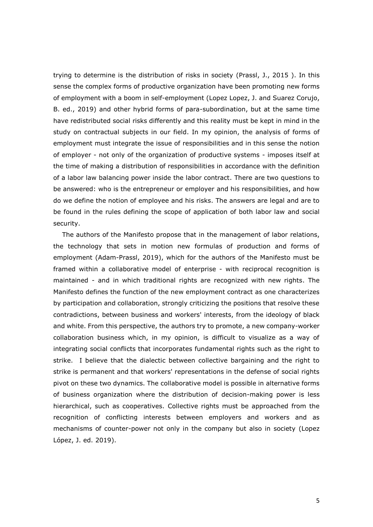trying to determine is the distribution of risks in society (Prassl, J., 2015 ). In this sense the complex forms of productive organization have been promoting new forms of employment with a boom in self-employment (Lopez Lopez, J. and Suarez Corujo, B. ed., 2019) and other hybrid forms of para-subordination, but at the same time have redistributed social risks differently and this reality must be kept in mind in the study on contractual subjects in our field. In my opinion, the analysis of forms of employment must integrate the issue of responsibilities and in this sense the notion of employer - not only of the organization of productive systems - imposes itself at the time of making a distribution of responsibilities in accordance with the definition of a labor law balancing power inside the labor contract. There are two questions to be answered: who is the entrepreneur or employer and his responsibilities, and how do we define the notion of employee and his risks. The answers are legal and are to be found in the rules defining the scope of application of both labor law and social security.

The authors of the Manifesto propose that in the management of labor relations, the technology that sets in motion new formulas of production and forms of employment (Adam-Prassl, 2019), which for the authors of the Manifesto must be framed within a collaborative model of enterprise - with reciprocal recognition is maintained - and in which traditional rights are recognized with new rights. The Manifesto defines the function of the new employment contract as one characterizes by participation and collaboration, strongly criticizing the positions that resolve these contradictions, between business and workers' interests, from the ideology of black and white. From this perspective, the authors try to promote, a new company-worker collaboration business which, in my opinion, is difficult to visualize as a way of integrating social conflicts that incorporates fundamental rights such as the right to strike. I believe that the dialectic between collective bargaining and the right to strike is permanent and that workers' representations in the defense of social rights pivot on these two dynamics. The collaborative model is possible in alternative forms of business organization where the distribution of decision-making power is less hierarchical, such as cooperatives. Collective rights must be approached from the recognition of conflicting interests between employers and workers and as mechanisms of counter-power not only in the company but also in society (Lopez López, J. ed. 2019).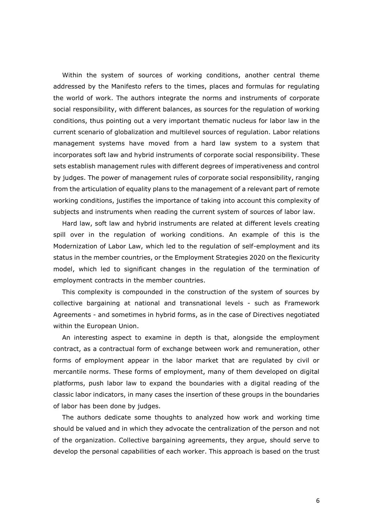Within the system of sources of working conditions, another central theme addressed by the Manifesto refers to the times, places and formulas for regulating the world of work. The authors integrate the norms and instruments of corporate social responsibility, with different balances, as sources for the regulation of working conditions, thus pointing out a very important thematic nucleus for labor law in the current scenario of globalization and multilevel sources of regulation. Labor relations management systems have moved from a hard law system to a system that incorporates soft law and hybrid instruments of corporate social responsibility. These sets establish management rules with different degrees of imperativeness and control by judges. The power of management rules of corporate social responsibility, ranging from the articulation of equality plans to the management of a relevant part of remote working conditions, justifies the importance of taking into account this complexity of subjects and instruments when reading the current system of sources of labor law.

Hard law, soft law and hybrid instruments are related at different levels creating spill over in the regulation of working conditions. An example of this is the Modernization of Labor Law, which led to the regulation of self-employment and its status in the member countries, or the Employment Strategies 2020 on the flexicurity model, which led to significant changes in the regulation of the termination of employment contracts in the member countries.

This complexity is compounded in the construction of the system of sources by collective bargaining at national and transnational levels - such as Framework Agreements - and sometimes in hybrid forms, as in the case of Directives negotiated within the European Union.

An interesting aspect to examine in depth is that, alongside the employment contract, as a contractual form of exchange between work and remuneration, other forms of employment appear in the labor market that are regulated by civil or mercantile norms. These forms of employment, many of them developed on digital platforms, push labor law to expand the boundaries with a digital reading of the classic labor indicators, in many cases the insertion of these groups in the boundaries of labor has been done by judges.

The authors dedicate some thoughts to analyzed how work and working time should be valued and in which they advocate the centralization of the person and not of the organization. Collective bargaining agreements, they argue, should serve to develop the personal capabilities of each worker. This approach is based on the trust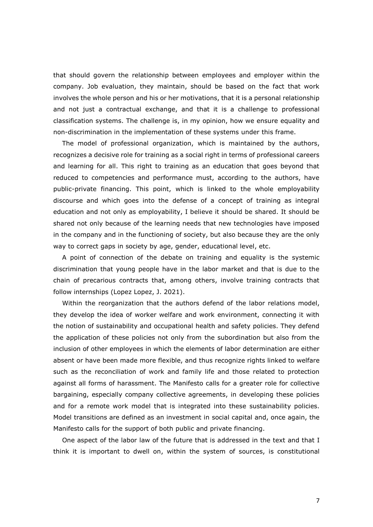that should govern the relationship between employees and employer within the company. Job evaluation, they maintain, should be based on the fact that work involves the whole person and his or her motivations, that it is a personal relationship and not just a contractual exchange, and that it is a challenge to professional classification systems. The challenge is, in my opinion, how we ensure equality and non-discrimination in the implementation of these systems under this frame.

The model of professional organization, which is maintained by the authors, recognizes a decisive role for training as a social right in terms of professional careers and learning for all. This right to training as an education that goes beyond that reduced to competencies and performance must, according to the authors, have public-private financing. This point, which is linked to the whole employability discourse and which goes into the defense of a concept of training as integral education and not only as employability, I believe it should be shared. It should be shared not only because of the learning needs that new technologies have imposed in the company and in the functioning of society, but also because they are the only way to correct gaps in society by age, gender, educational level, etc.

A point of connection of the debate on training and equality is the systemic discrimination that young people have in the labor market and that is due to the chain of precarious contracts that, among others, involve training contracts that follow internships (Lopez Lopez, J. 2021).

Within the reorganization that the authors defend of the labor relations model, they develop the idea of worker welfare and work environment, connecting it with the notion of sustainability and occupational health and safety policies. They defend the application of these policies not only from the subordination but also from the inclusion of other employees in which the elements of labor determination are either absent or have been made more flexible, and thus recognize rights linked to welfare such as the reconciliation of work and family life and those related to protection against all forms of harassment. The Manifesto calls for a greater role for collective bargaining, especially company collective agreements, in developing these policies and for a remote work model that is integrated into these sustainability policies. Model transitions are defined as an investment in social capital and, once again, the Manifesto calls for the support of both public and private financing.

One aspect of the labor law of the future that is addressed in the text and that I think it is important to dwell on, within the system of sources, is constitutional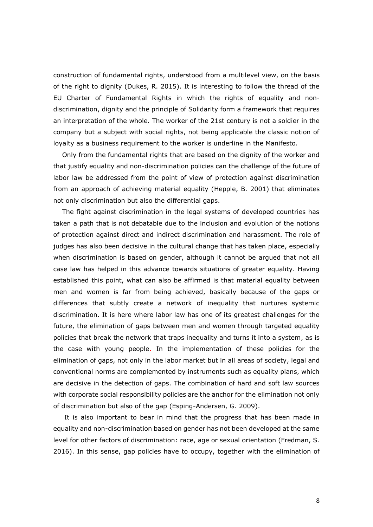construction of fundamental rights, understood from a multilevel view, on the basis of the right to dignity (Dukes, R. 2015). It is interesting to follow the thread of the EU Charter of Fundamental Rights in which the rights of equality and nondiscrimination, dignity and the principle of Solidarity form a framework that requires an interpretation of the whole. The worker of the 21st century is not a soldier in the company but a subject with social rights, not being applicable the classic notion of loyalty as a business requirement to the worker is underline in the Manifesto.

Only from the fundamental rights that are based on the dignity of the worker and that justify equality and non-discrimination policies can the challenge of the future of labor law be addressed from the point of view of protection against discrimination from an approach of achieving material equality (Hepple, B. 2001) that eliminates not only discrimination but also the differential gaps.

The fight against discrimination in the legal systems of developed countries has taken a path that is not debatable due to the inclusion and evolution of the notions of protection against direct and indirect discrimination and harassment. The role of judges has also been decisive in the cultural change that has taken place, especially when discrimination is based on gender, although it cannot be argued that not all case law has helped in this advance towards situations of greater equality. Having established this point, what can also be affirmed is that material equality between men and women is far from being achieved, basically because of the gaps or differences that subtly create a network of inequality that nurtures systemic discrimination. It is here where labor law has one of its greatest challenges for the future, the elimination of gaps between men and women through targeted equality policies that break the network that traps inequality and turns it into a system, as is the case with young people. In the implementation of these policies for the elimination of gaps, not only in the labor market but in all areas of society, legal and conventional norms are complemented by instruments such as equality plans, which are decisive in the detection of gaps. The combination of hard and soft law sources with corporate social responsibility policies are the anchor for the elimination not only of discrimination but also of the gap (Esping-Andersen, G. 2009).

It is also important to bear in mind that the progress that has been made in equality and non-discrimination based on gender has not been developed at the same level for other factors of discrimination: race, age or sexual orientation (Fredman, S. 2016). In this sense, gap policies have to occupy, together with the elimination of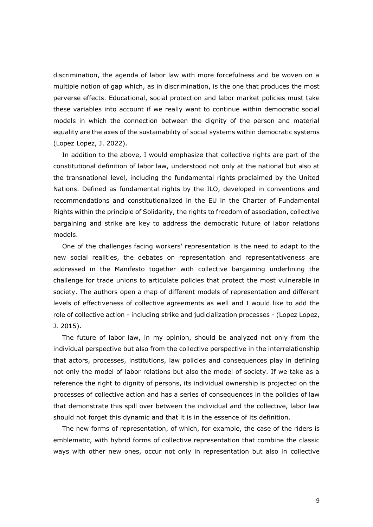discrimination, the agenda of labor law with more forcefulness and be woven on a multiple notion of gap which, as in discrimination, is the one that produces the most perverse effects. Educational, social protection and labor market policies must take these variables into account if we really want to continue within democratic social models in which the connection between the dignity of the person and material equality are the axes of the sustainability of social systems within democratic systems (Lopez Lopez, J. 2022).

In addition to the above, I would emphasize that collective rights are part of the constitutional definition of labor law, understood not only at the national but also at the transnational level, including the fundamental rights proclaimed by the United Nations. Defined as fundamental rights by the ILO, developed in conventions and recommendations and constitutionalized in the EU in the Charter of Fundamental Rights within the principle of Solidarity, the rights to freedom of association, collective bargaining and strike are key to address the democratic future of labor relations models.

One of the challenges facing workers' representation is the need to adapt to the new social realities, the debates on representation and representativeness are addressed in the Manifesto together with collective bargaining underlining the challenge for trade unions to articulate policies that protect the most vulnerable in society. The authors open a map of different models of representation and different levels of effectiveness of collective agreements as well and I would like to add the role of collective action - including strike and judicialization processes - (Lopez Lopez, J. 2015).

The future of labor law, in my opinion, should be analyzed not only from the individual perspective but also from the collective perspective in the interrelationship that actors, processes, institutions, law policies and consequences play in defining not only the model of labor relations but also the model of society. If we take as a reference the right to dignity of persons, its individual ownership is projected on the processes of collective action and has a series of consequences in the policies of law that demonstrate this spill over between the individual and the collective, labor law should not forget this dynamic and that it is in the essence of its definition.

The new forms of representation, of which, for example, the case of the riders is emblematic, with hybrid forms of collective representation that combine the classic ways with other new ones, occur not only in representation but also in collective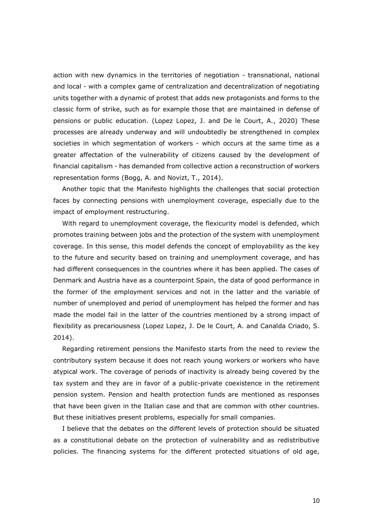action with new dynamics in the territories of negotiation - transnational, national and local - with a complex game of centralization and decentralization of negotiating units together with a dynamic of protest that adds new protagonists and forms to the classic form of strike, such as for example those that are maintained in defense of pensions or public education. (Lopez Lopez, J. and De le Court, A., 2020) These processes are already underway and will undoubtedly be strengthened in complex societies in which segmentation of workers - which occurs at the same time as a greater affectation of the vulnerability of citizens caused by the development of financial capitalism - has demanded from collective action a reconstruction of workers representation forms (Bogg, A. and Novizt, T., 2014).

Another topic that the Manifesto highlights the challenges that social protection faces by connecting pensions with unemployment coverage, especially due to the impact of employment restructuring.

With regard to unemployment coverage, the flexicurity model is defended, which promotes training between jobs and the protection of the system with unemployment coverage. In this sense, this model defends the concept of employability as the key to the future and security based on training and unemployment coverage, and has had different consequences in the countries where it has been applied. The cases of Denmark and Austria have as a counterpoint Spain, the data of good performance in the former of the employment services and not in the latter and the variable of number of unemployed and period of unemployment has helped the former and has made the model fail in the latter of the countries mentioned by a strong impact of flexibility as precariousness (Lopez Lopez, J. De le Court, A. and Canalda Criado, S. 2014).

Regarding retirement pensions the Manifesto starts from the need to review the contributory system because it does not reach young workers or workers who have atypical work. The coverage of periods of inactivity is already being covered by the tax system and they are in favor of a public-private coexistence in the retirement pension system. Pension and health protection funds are mentioned as responses that have been given in the Italian case and that are common with other countries. But these initiatives present problems, especially for small companies.

I believe that the debates on the different levels of protection should be situated as a constitutional debate on the protection of vulnerability and as redistributive policies. The financing systems for the different protected situations of old age,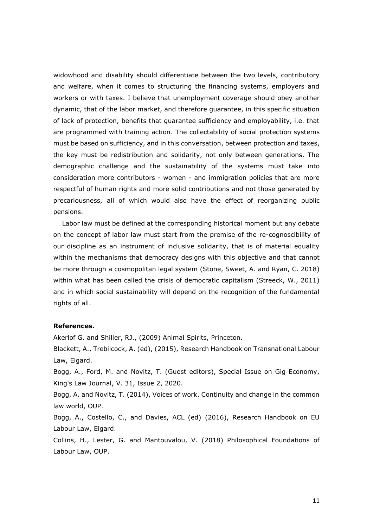widowhood and disability should differentiate between the two levels, contributory and welfare, when it comes to structuring the financing systems, employers and workers or with taxes. I believe that unemployment coverage should obey another dynamic, that of the labor market, and therefore guarantee, in this specific situation of lack of protection, benefits that guarantee sufficiency and employability, i.e. that are programmed with training action. The collectability of social protection systems must be based on sufficiency, and in this conversation, between protection and taxes, the key must be redistribution and solidarity, not only between generations. The demographic challenge and the sustainability of the systems must take into consideration more contributors - women - and immigration policies that are more respectful of human rights and more solid contributions and not those generated by precariousness, all of which would also have the effect of reorganizing public pensions.

Labor law must be defined at the corresponding historical moment but any debate on the concept of labor law must start from the premise of the re-cognoscibility of our discipline as an instrument of inclusive solidarity, that is of material equality within the mechanisms that democracy designs with this objective and that cannot be more through a cosmopolitan legal system (Stone, Sweet, A. and Ryan, C. 2018) within what has been called the crisis of democratic capitalism (Streeck, W., 2011) and in which social sustainability will depend on the recognition of the fundamental rights of all.

## **References.**

Akerlof G. and Shiller, RJ., (2009) Animal Spirits, Princeton.

Blackett, A., Trebilcock, A. (ed), (2015), Research Handbook on Transnational Labour Law, Elgard.

Bogg, A., Ford, M. and Novitz, T. (Guest editors), Special Issue on Gig Economy, King's Law Journal, V. 31, Issue 2, 2020.

Bogg, A. and Novitz, T. (2014), Voices of work. Continuity and change in the common law world, OUP.

Bogg, A., Costello, C., and Davies, ACL (ed) (2016), Research Handbook on EU Labour Law, Elgard.

Collins, H., Lester, G. and Mantouvalou, V. (2018) Philosophical Foundations of Labour Law, OUP.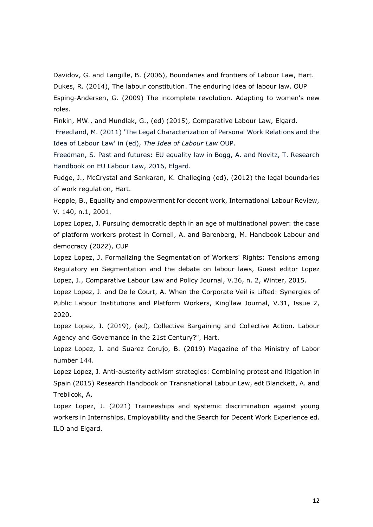Davidov, G. and Langille, B. (2006), Boundaries and frontiers of Labour Law, Hart. Dukes, R. (2014), The labour constitution. The enduring idea of labour law. OUP Esping-Andersen, G. (2009) The incomplete revolution. Adapting to women's new roles.

Finkin, MW., and Mundlak, G., (ed) (2015), Comparative Labour Law, Elgard.

Freedland, M. (2011) 'The Legal Characterization of Personal Work Relations and the Idea of Labour Law' in (ed), *The Idea of Labour Law* OUP.

Freedman, S. Past and futures: EU equality law in Bogg, A. and Novitz, T. Research Handbook on EU Labour Law, 2016, Elgard.

Fudge, J., McCrystal and Sankaran, K. Challeging (ed), (2012) the legal boundaries of work regulation, Hart.

Hepple, B., Equality and empowerment for decent work, International Labour Review, V. 140, n.1, 2001.

Lopez Lopez, J. Pursuing democratic depth in an age of multinational power: the case of platform workers protest in Cornell, A. and Barenberg, M. Handbook Labour and democracy (2022), CUP

Lopez Lopez, J. Formalizing the Segmentation of Workers' Rights: Tensions among Regulatory en Segmentation and the debate on labour laws, Guest editor Lopez Lopez, J., Comparative Labour Law and Policy Journal, V.36, n. 2, Winter, 2015.

Lopez Lopez, J. and De le Court, A. When the Corporate Veil is Lifted: Synergies of Public Labour Institutions and Platform Workers, King'law Journal, V.31, Issue 2, 2020.

Lopez Lopez, J. (2019), (ed), Collective Bargaining and Collective Action. Labour Agency and Governance in the 21st Century?", Hart.

Lopez Lopez, J. and Suarez Corujo, B. (2019) Magazine of the Ministry of Labor number 144.

Lopez Lopez, J. Anti-austerity activism strategies: Combining protest and litigation in Spain (2015) Research Handbook on Transnational Labour Law, edt Blanckett, A. and Trebilcok, A.

Lopez Lopez, J. (2021) Traineeships and systemic discrimination against young workers in Internships, Employability and the Search for Decent Work Experience ed. ILO and Elgard.